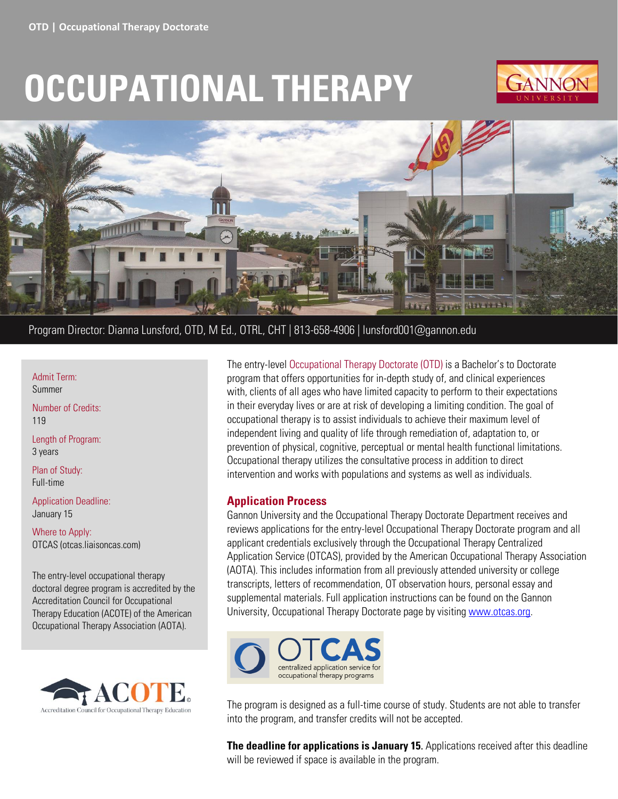# **OCCUPATIONAL THERAPY**





# Program Director: Dianna Lunsford, OTD, M Ed., OTRL, CHT | 813-658-4906 | lunsford001@gannon.edu

Admit Term:

Summer

Number of Credits: 119

Length of Program: 3 years

Plan of Study: Full-time

Application Deadline: January 15

Where to Apply: OTCAS (otcas.liaisoncas.com)

The entry-level occupational therapy doctoral degree program is accredited by the Accreditation Council for Occupational Therapy Education (ACOTE) of the American Occupational Therapy Association (AOTA).



The entry-level Occupational Therapy Doctorate (OTD) is a Bachelor's to Doctorate program that offers opportunities for in-depth study of, and clinical experiences with, clients of all ages who have limited capacity to perform to their expectations in their everyday lives or are at risk of developing a limiting condition. The goal of occupational therapy is to assist individuals to achieve their maximum level of independent living and quality of life through remediation of, adaptation to, or prevention of physical, cognitive, perceptual or mental health functional limitations. Occupational therapy utilizes the consultative process in addition to direct intervention and works with populations and systems as well as individuals.

#### **Application Process**

Gannon University and the Occupational Therapy Doctorate Department receives and reviews applications for the entry-level Occupational Therapy Doctorate program and all applicant credentials exclusively through the Occupational Therapy Centralized Application Service (OTCAS), provided by the American Occupational Therapy Association (AOTA). This includes information from all previously attended university or college transcripts, letters of recommendation, OT observation hours, personal essay and supplemental materials. Full application instructions can be found on the Gannon University, Occupational Therapy Doctorate page by visitin[g www.otcas.org.](http://www.otcas.org/)



The program is designed as a full-time course of study. Students are not able to transfer into the program, and transfer credits will not be accepted.

**The deadline for applications is January 15**. Applications received after this deadline will be reviewed if space is available in the program.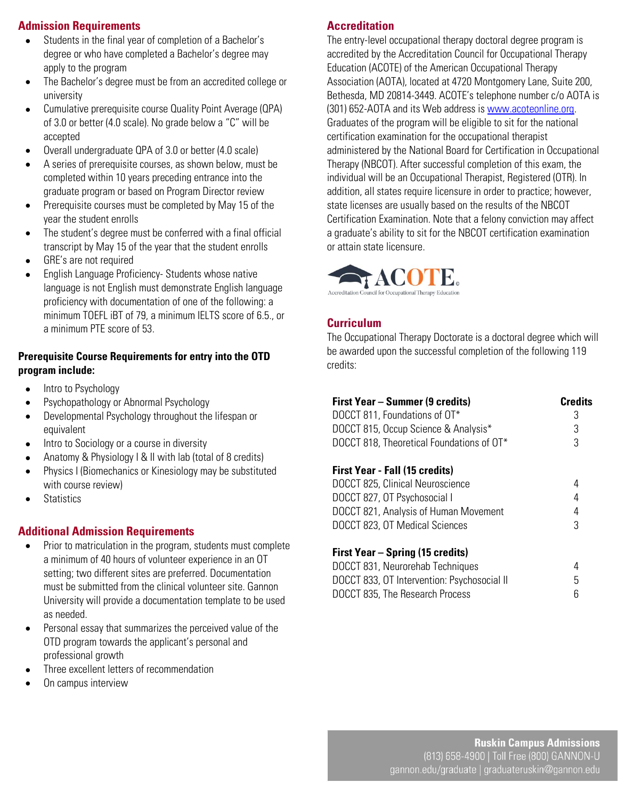# **Admission Requirements**

- Students in the final year of completion of a Bachelor's degree or who have completed a Bachelor's degree may apply to the program
- The Bachelor's degree must be from an accredited college or university
- Cumulative prerequisite course Quality Point Average (QPA) of 3.0 or better (4.0 scale). No grade below a "C" will be accepted
- Overall undergraduate QPA of 3.0 or better (4.0 scale)
- A series of prerequisite courses, as shown below, must be completed within 10 years preceding entrance into the graduate program or based on Program Director review
- Prerequisite courses must be completed by May 15 of the year the student enrolls
- The student's degree must be conferred with a final official transcript by May 15 of the year that the student enrolls
- GRE's are not required
- English Language Proficiency- Students whose native language is not English must demonstrate English language proficiency with documentation of one of the following: a minimum TOEFL iBT of 79, a minimum IELTS score of 6.5., or a minimum PTE score of 53.

#### **Prerequisite Course Requirements for entry into the OTD program include:**

- Intro to Psychology
- Psychopathology or Abnormal Psychology
- Developmental Psychology throughout the lifespan or equivalent
- Intro to Sociology or a course in diversity
- Anatomy & Physiology I & II with lab (total of 8 credits)
- Physics I (Biomechanics or Kinesiology may be substituted with course review)
- Statistics

### **Additional Admission Requirements**

- Prior to matriculation in the program, students must complete a minimum of 40 hours of volunteer experience in an OT setting; two different sites are preferred. Documentation must be submitted from the clinical volunteer site. Gannon University will provide a documentation template to be used as needed.
- Personal essay that summarizes the perceived value of the OTD program towards the applicant's personal and professional growth
- Three excellent letters of recommendation
- On campus interview

## **Accreditation**

The entry-level occupational therapy doctoral degree program is accredited by the Accreditation Council for Occupational Therapy Education (ACOTE) of the American Occupational Therapy Association (AOTA), located at 4720 Montgomery Lane, Suite 200, Bethesda, MD 20814-3449. ACOTE's telephone number c/o AOTA is (301) 652-AOTA and its Web address is [www.acoteonline.org.](http://www.acoteonline.org/) Graduates of the program will be eligible to sit for the national certification examination for the occupational therapist administered by the National Board for Certification in Occupational Therapy (NBCOT). After successful completion of this exam, the individual will be an Occupational Therapist, Registered (OTR). In addition, all states require licensure in order to practice; however, state licenses are usually based on the results of the NBCOT Certification Examination. Note that a felony conviction may affect a graduate's ability to sit for the NBCOT certification examination or attain state licensure.



# **Curriculum**

l.

The Occupational Therapy Doctorate is a doctoral degree which will be awarded upon the successful completion of the following 119 credits:

| First Year – Summer (9 credits)           | <b>Credits</b> |
|-------------------------------------------|----------------|
| DOCCT 811, Foundations of OT*             | 3              |
| DOCCT 815, Occup Science & Analysis*      | 3              |
| DOCCT 818, Theoretical Foundations of OT* | 3              |
|                                           |                |

#### **First Year - Fall (15 credits)**

| DOCCT 825, Clinical Neuroscience      |   |
|---------------------------------------|---|
| DOCCT 827, OT Psychosocial I          | 4 |
| DOCCT 821, Analysis of Human Movement | 4 |
| DOCCT 823, OT Medical Sciences        | 3 |
|                                       |   |

### **First Year – Spring (15 credits)**

| DOCCT 831, Neurorehab Techniques            |  |
|---------------------------------------------|--|
| DOCCT 833, OT Intervention: Psychosocial II |  |
| DOCCT 835, The Research Process             |  |